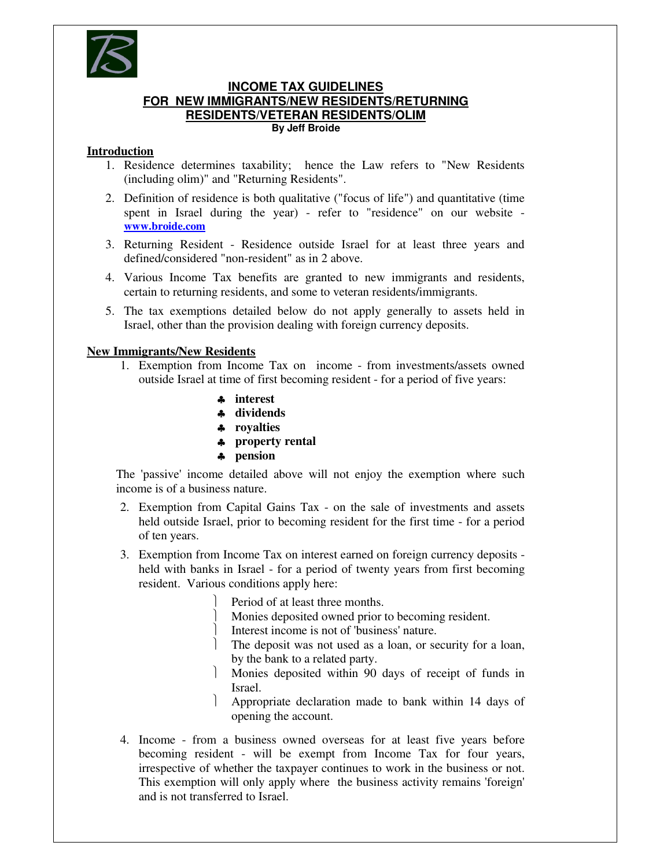

## **INCOME TAX GUIDELINES FOR NEW IMMIGRANTS/NEW RESIDENTS/RETURNING RESIDENTS/VETERAN RESIDENTS/OLIM By Jeff Broide**

# **Introduction**

- 1. Residence determines taxability; hence the Law refers to "New Residents (including olim)" and "Returning Residents".
- 2. Definition of residence is both qualitative ("focus of life") and quantitative (time spent in Israel during the year) - refer to "residence" on our website **www.broide.com**
- 3. Returning Resident Residence outside Israel for at least three years and defined/considered "non-resident" as in 2 above.
- 4. Various Income Tax benefits are granted to new immigrants and residents, certain to returning residents, and some to veteran residents/immigrants.
- 5. The tax exemptions detailed below do not apply generally to assets held in Israel, other than the provision dealing with foreign currency deposits.

# **New Immigrants/New Residents**

- 1. Exemption from Income Tax on income from investments/assets owned outside Israel at time of first becoming resident - for a period of five years:
	- ♣ **interest**
	- ♣ **dividends**
	- ♣ **royalties**
	- ♣ **property rental**
	- ♣ **pension**

The 'passive' income detailed above will not enjoy the exemption where such income is of a business nature.

- 2. Exemption from Capital Gains Tax on the sale of investments and assets held outside Israel, prior to becoming resident for the first time - for a period of ten years.
- 3. Exemption from Income Tax on interest earned on foreign currency deposits held with banks in Israel - for a period of twenty years from first becoming resident. Various conditions apply here:
	- Period of at least three months.
	- Monies deposited owned prior to becoming resident.

Interest income is not of 'business' nature.

- The deposit was not used as a loan, or security for a loan, by the bank to a related party.
- Monies deposited within 90 days of receipt of funds in Israel.
- Appropriate declaration made to bank within 14 days of opening the account.
- 4. Income from a business owned overseas for at least five years before becoming resident - will be exempt from Income Tax for four years, irrespective of whether the taxpayer continues to work in the business or not. This exemption will only apply where the business activity remains 'foreign' and is not transferred to Israel.